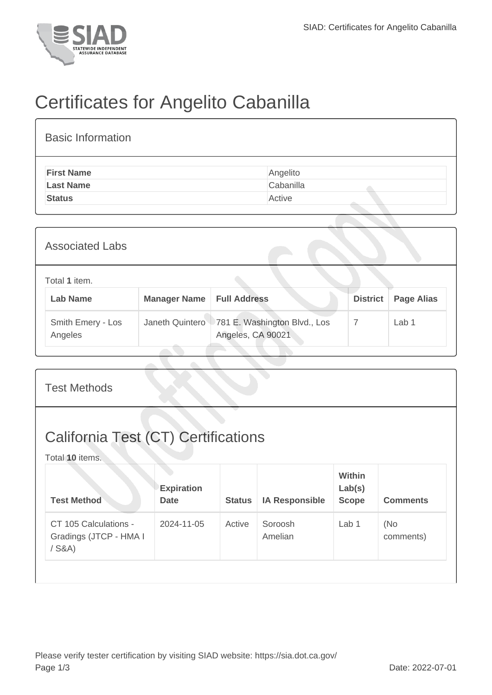

## Certificates for Angelito Cabanilla

| <b>Basic Information</b> |           |
|--------------------------|-----------|
| <b>First Name</b>        | Angelito  |
| <b>Last Name</b>         | Cabanilla |
| <b>Status</b>            | Active    |

| <b>Associated Labs</b>           |                                    |                                                                   |                 |                   |  |  |  |
|----------------------------------|------------------------------------|-------------------------------------------------------------------|-----------------|-------------------|--|--|--|
| Total 1 item.<br><b>Lab Name</b> | <b>Manager Name   Full Address</b> |                                                                   | <b>District</b> | <b>Page Alias</b> |  |  |  |
| Smith Emery - Los<br>Angeles     |                                    | Janeth Quintero 781 E. Washington Blvd., Los<br>Angeles, CA 90021 | 7               | Lab <sub>1</sub>  |  |  |  |

| <b>Test Methods</b>                                           |                                  |               |                       |                                  |                  |  |
|---------------------------------------------------------------|----------------------------------|---------------|-----------------------|----------------------------------|------------------|--|
| <b>California Test (CT) Certifications</b><br>Total 10 items. |                                  |               |                       |                                  |                  |  |
| <b>Test Method</b>                                            | <b>Expiration</b><br><b>Date</b> | <b>Status</b> | <b>IA Responsible</b> | Within<br>Lab(s)<br><b>Scope</b> | <b>Comments</b>  |  |
| CT 105 Calculations -<br>Gradings (JTCP - HMA I<br>$/$ S&A)   | 2024-11-05                       | Active        | Soroosh<br>Amelian    | Lab 1                            | (No<br>comments) |  |
|                                                               |                                  |               |                       |                                  |                  |  |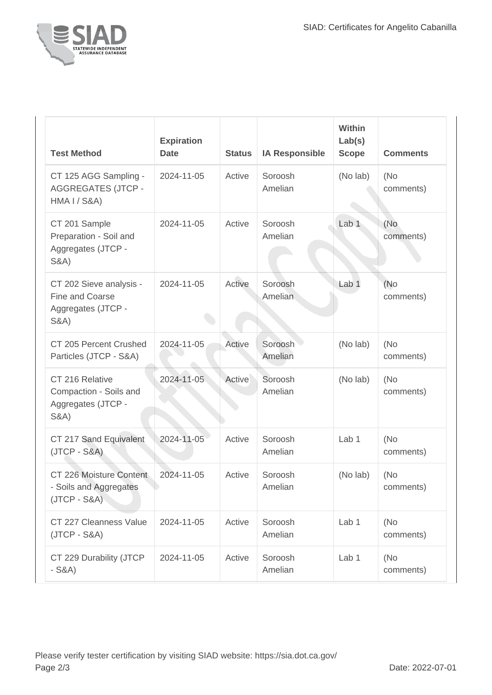

| <b>Test Method</b>                                                                  | <b>Expiration</b><br><b>Date</b> | <b>Status</b> | <b>IA Responsible</b> | Within<br>Lab(s)<br><b>Scope</b> | <b>Comments</b>   |
|-------------------------------------------------------------------------------------|----------------------------------|---------------|-----------------------|----------------------------------|-------------------|
| CT 125 AGG Sampling -<br><b>AGGREGATES (JTCP -</b><br>HMA I / S&A)                  | 2024-11-05                       | Active        | Soroosh<br>Amelian    | (No lab)                         | (No)<br>comments) |
| CT 201 Sample<br>Preparation - Soil and<br>Aggregates (JTCP -<br><b>S&amp;A)</b>    | 2024-11-05                       | Active        | Soroosh<br>Amelian    | Lab <sub>1</sub>                 | (No<br>comments)  |
| CT 202 Sieve analysis -<br>Fine and Coarse<br>Aggregates (JTCP -<br><b>S&amp;A)</b> | 2024-11-05                       | Active        | Soroosh<br>Amelian    | Lab <sub>1</sub>                 | (No)<br>comments) |
| CT 205 Percent Crushed<br>Particles (JTCP - S&A)                                    | 2024-11-05                       | Active        | Soroosh<br>Amelian    | (No lab)                         | (No)<br>comments) |
| CT 216 Relative<br>Compaction - Soils and<br>Aggregates (JTCP -<br><b>S&amp;A</b> ) | 2024-11-05                       | Active        | Soroosh<br>Amelian    | (No lab)                         | (No)<br>comments) |
| CT 217 Sand Equivalent<br>$(JTCP - S&A)$                                            | 2024-11-05                       | Active        | Soroosh<br>Amelian    | Lab <sub>1</sub>                 | (No)<br>comments) |
| CT 226 Moisture Content<br>- Soils and Aggregates<br>$(JTCP - S&A)$                 | 2024-11-05                       | Active        | Soroosh<br>Amelian    | (No lab)                         | (No)<br>comments) |
| CT 227 Cleanness Value<br>$(JTCP - S&A)$                                            | 2024-11-05                       | Active        | Soroosh<br>Amelian    | Lab <sub>1</sub>                 | (No)<br>comments) |
| CT 229 Durability (JTCP<br>$-S&A)$                                                  | 2024-11-05                       | Active        | Soroosh<br>Amelian    | Lab <sub>1</sub>                 | (No)<br>comments) |